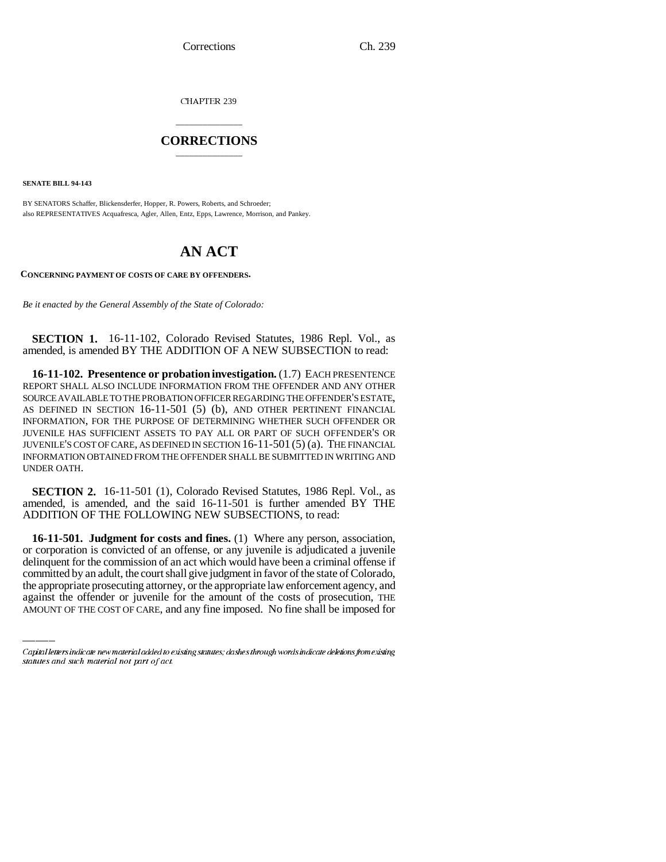CHAPTER 239

# \_\_\_\_\_\_\_\_\_\_\_\_\_\_\_ **CORRECTIONS** \_\_\_\_\_\_\_\_\_\_\_\_\_\_\_

**SENATE BILL 94-143**

BY SENATORS Schaffer, Blickensderfer, Hopper, R. Powers, Roberts, and Schroeder; also REPRESENTATIVES Acquafresca, Agler, Allen, Entz, Epps, Lawrence, Morrison, and Pankey.

# **AN ACT**

**CONCERNING PAYMENT OF COSTS OF CARE BY OFFENDERS.**

*Be it enacted by the General Assembly of the State of Colorado:*

**SECTION 1.** 16-11-102, Colorado Revised Statutes, 1986 Repl. Vol., as amended, is amended BY THE ADDITION OF A NEW SUBSECTION to read:

**16-11-102. Presentence or probation investigation.** (1.7) EACH PRESENTENCE REPORT SHALL ALSO INCLUDE INFORMATION FROM THE OFFENDER AND ANY OTHER SOURCE AVAILABLE TO THE PROBATION OFFICER REGARDING THE OFFENDER'S ESTATE, AS DEFINED IN SECTION 16-11-501 (5) (b), AND OTHER PERTINENT FINANCIAL INFORMATION, FOR THE PURPOSE OF DETERMINING WHETHER SUCH OFFENDER OR JUVENILE HAS SUFFICIENT ASSETS TO PAY ALL OR PART OF SUCH OFFENDER'S OR JUVENILE'S COST OF CARE, AS DEFINED IN SECTION 16-11-501 (5) (a). THE FINANCIAL INFORMATION OBTAINED FROM THE OFFENDER SHALL BE SUBMITTED IN WRITING AND UNDER OATH.

**SECTION 2.** 16-11-501 (1), Colorado Revised Statutes, 1986 Repl. Vol., as amended, is amended, and the said 16-11-501 is further amended BY THE ADDITION OF THE FOLLOWING NEW SUBSECTIONS, to read:

delinquent for the commission of an act which would have been a criminal offense if **16-11-501. Judgment for costs and fines.** (1) Where any person, association, or corporation is convicted of an offense, or any juvenile is adjudicated a juvenile committed by an adult, the court shall give judgment in favor of the state of Colorado, the appropriate prosecuting attorney, or the appropriate law enforcement agency, and against the offender or juvenile for the amount of the costs of prosecution, THE AMOUNT OF THE COST OF CARE, and any fine imposed. No fine shall be imposed for

Capital letters indicate new material added to existing statutes; dashes through words indicate deletions from existing statutes and such material not part of act.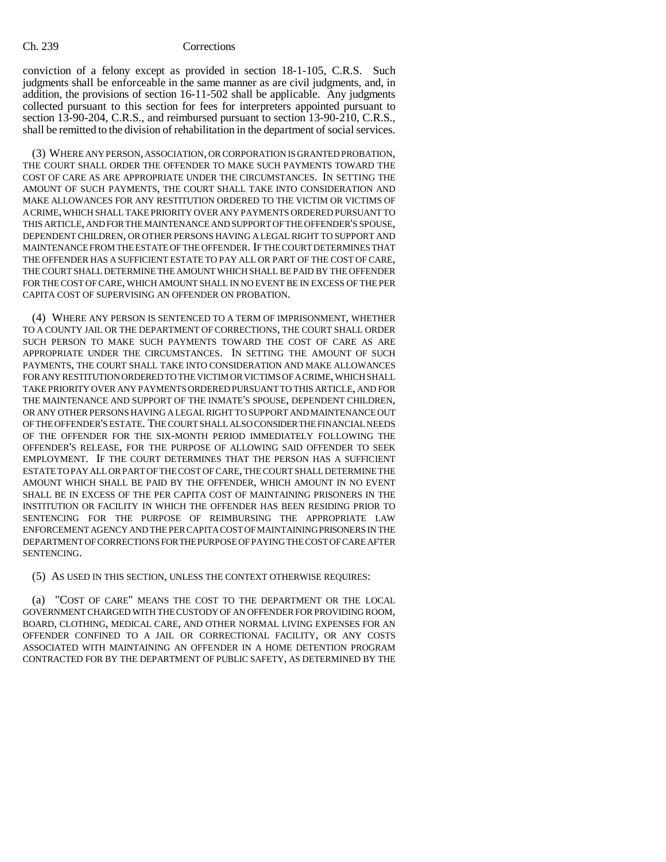conviction of a felony except as provided in section 18-1-105, C.R.S. Such judgments shall be enforceable in the same manner as are civil judgments, and, in addition, the provisions of section 16-11-502 shall be applicable. Any judgments collected pursuant to this section for fees for interpreters appointed pursuant to section 13-90-204, C.R.S., and reimbursed pursuant to section 13-90-210, C.R.S., shall be remitted to the division of rehabilitation in the department of social services.

(3) WHERE ANY PERSON, ASSOCIATION, OR CORPORATION IS GRANTED PROBATION, THE COURT SHALL ORDER THE OFFENDER TO MAKE SUCH PAYMENTS TOWARD THE COST OF CARE AS ARE APPROPRIATE UNDER THE CIRCUMSTANCES. IN SETTING THE AMOUNT OF SUCH PAYMENTS, THE COURT SHALL TAKE INTO CONSIDERATION AND MAKE ALLOWANCES FOR ANY RESTITUTION ORDERED TO THE VICTIM OR VICTIMS OF A CRIME, WHICH SHALL TAKE PRIORITY OVER ANY PAYMENTS ORDERED PURSUANT TO THIS ARTICLE, AND FOR THE MAINTENANCE AND SUPPORT OF THE OFFENDER'S SPOUSE, DEPENDENT CHILDREN, OR OTHER PERSONS HAVING A LEGAL RIGHT TO SUPPORT AND MAINTENANCE FROM THE ESTATE OF THE OFFENDER. IF THE COURT DETERMINES THAT THE OFFENDER HAS A SUFFICIENT ESTATE TO PAY ALL OR PART OF THE COST OF CARE, THE COURT SHALL DETERMINE THE AMOUNT WHICH SHALL BE PAID BY THE OFFENDER FOR THE COST OF CARE, WHICH AMOUNT SHALL IN NO EVENT BE IN EXCESS OF THE PER CAPITA COST OF SUPERVISING AN OFFENDER ON PROBATION.

(4) WHERE ANY PERSON IS SENTENCED TO A TERM OF IMPRISONMENT, WHETHER TO A COUNTY JAIL OR THE DEPARTMENT OF CORRECTIONS, THE COURT SHALL ORDER SUCH PERSON TO MAKE SUCH PAYMENTS TOWARD THE COST OF CARE AS ARE APPROPRIATE UNDER THE CIRCUMSTANCES. IN SETTING THE AMOUNT OF SUCH PAYMENTS, THE COURT SHALL TAKE INTO CONSIDERATION AND MAKE ALLOWANCES FOR ANY RESTITUTION ORDERED TO THE VICTIM OR VICTIMS OF A CRIME, WHICH SHALL TAKE PRIORITY OVER ANY PAYMENTS ORDERED PURSUANT TO THIS ARTICLE, AND FOR THE MAINTENANCE AND SUPPORT OF THE INMATE'S SPOUSE, DEPENDENT CHILDREN, OR ANY OTHER PERSONS HAVING A LEGAL RIGHT TO SUPPORT AND MAINTENANCE OUT OF THE OFFENDER'S ESTATE. THE COURT SHALL ALSO CONSIDER THE FINANCIAL NEEDS OF THE OFFENDER FOR THE SIX-MONTH PERIOD IMMEDIATELY FOLLOWING THE OFFENDER'S RELEASE, FOR THE PURPOSE OF ALLOWING SAID OFFENDER TO SEEK EMPLOYMENT. IF THE COURT DETERMINES THAT THE PERSON HAS A SUFFICIENT ESTATE TO PAY ALL OR PART OF THE COST OF CARE, THE COURT SHALL DETERMINE THE AMOUNT WHICH SHALL BE PAID BY THE OFFENDER, WHICH AMOUNT IN NO EVENT SHALL BE IN EXCESS OF THE PER CAPITA COST OF MAINTAINING PRISONERS IN THE INSTITUTION OR FACILITY IN WHICH THE OFFENDER HAS BEEN RESIDING PRIOR TO SENTENCING FOR THE PURPOSE OF REIMBURSING THE APPROPRIATE LAW ENFORCEMENT AGENCY AND THE PER CAPITA COST OF MAINTAINING PRISONERS IN THE DEPARTMENT OF CORRECTIONS FOR THE PURPOSE OF PAYING THE COST OF CARE AFTER SENTENCING.

(5) AS USED IN THIS SECTION, UNLESS THE CONTEXT OTHERWISE REQUIRES:

(a) "COST OF CARE" MEANS THE COST TO THE DEPARTMENT OR THE LOCAL GOVERNMENT CHARGED WITH THE CUSTODY OF AN OFFENDER FOR PROVIDING ROOM, BOARD, CLOTHING, MEDICAL CARE, AND OTHER NORMAL LIVING EXPENSES FOR AN OFFENDER CONFINED TO A JAIL OR CORRECTIONAL FACILITY, OR ANY COSTS ASSOCIATED WITH MAINTAINING AN OFFENDER IN A HOME DETENTION PROGRAM CONTRACTED FOR BY THE DEPARTMENT OF PUBLIC SAFETY, AS DETERMINED BY THE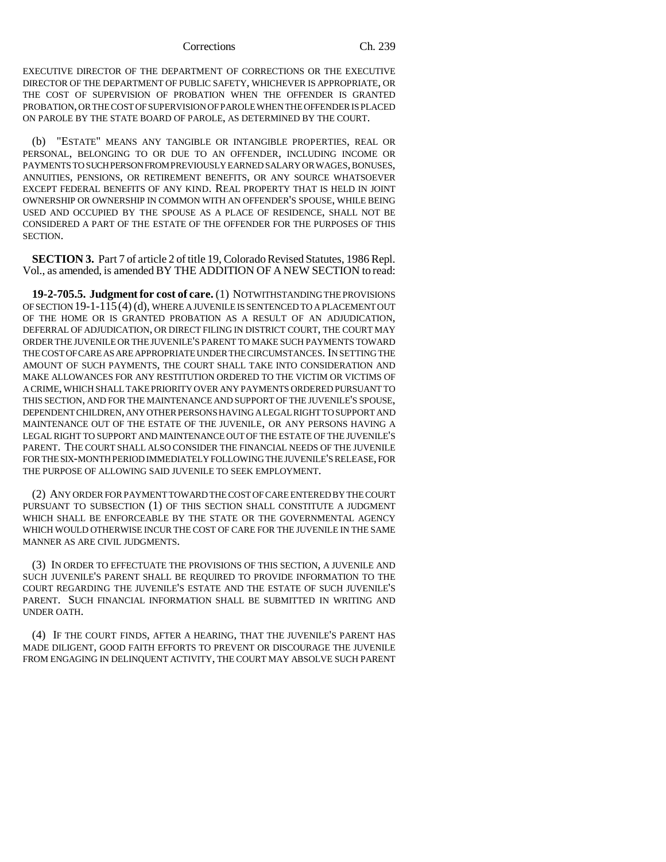### Corrections Ch. 239

EXECUTIVE DIRECTOR OF THE DEPARTMENT OF CORRECTIONS OR THE EXECUTIVE DIRECTOR OF THE DEPARTMENT OF PUBLIC SAFETY, WHICHEVER IS APPROPRIATE, OR THE COST OF SUPERVISION OF PROBATION WHEN THE OFFENDER IS GRANTED PROBATION, OR THE COST OF SUPERVISION OF PAROLE WHEN THE OFFENDER IS PLACED ON PAROLE BY THE STATE BOARD OF PAROLE, AS DETERMINED BY THE COURT.

(b) "ESTATE" MEANS ANY TANGIBLE OR INTANGIBLE PROPERTIES, REAL OR PERSONAL, BELONGING TO OR DUE TO AN OFFENDER, INCLUDING INCOME OR PAYMENTS TO SUCH PERSON FROM PREVIOUSLY EARNED SALARY OR WAGES, BONUSES, ANNUITIES, PENSIONS, OR RETIREMENT BENEFITS, OR ANY SOURCE WHATSOEVER EXCEPT FEDERAL BENEFITS OF ANY KIND. REAL PROPERTY THAT IS HELD IN JOINT OWNERSHIP OR OWNERSHIP IN COMMON WITH AN OFFENDER'S SPOUSE, WHILE BEING USED AND OCCUPIED BY THE SPOUSE AS A PLACE OF RESIDENCE, SHALL NOT BE CONSIDERED A PART OF THE ESTATE OF THE OFFENDER FOR THE PURPOSES OF THIS SECTION.

**SECTION 3.** Part 7 of article 2 of title 19, Colorado Revised Statutes, 1986 Repl. Vol., as amended, is amended BY THE ADDITION OF A NEW SECTION to read:

**19-2-705.5. Judgment for cost of care.** (1) NOTWITHSTANDING THE PROVISIONS OF SECTION 19-1-115(4) (d), WHERE A JUVENILE IS SENTENCED TO A PLACEMENT OUT OF THE HOME OR IS GRANTED PROBATION AS A RESULT OF AN ADJUDICATION, DEFERRAL OF ADJUDICATION, OR DIRECT FILING IN DISTRICT COURT, THE COURT MAY ORDER THE JUVENILE OR THE JUVENILE'S PARENT TO MAKE SUCH PAYMENTS TOWARD THE COST OF CARE AS ARE APPROPRIATE UNDER THE CIRCUMSTANCES. IN SETTING THE AMOUNT OF SUCH PAYMENTS, THE COURT SHALL TAKE INTO CONSIDERATION AND MAKE ALLOWANCES FOR ANY RESTITUTION ORDERED TO THE VICTIM OR VICTIMS OF A CRIME, WHICH SHALL TAKE PRIORITY OVER ANY PAYMENTS ORDERED PURSUANT TO THIS SECTION, AND FOR THE MAINTENANCE AND SUPPORT OF THE JUVENILE'S SPOUSE, DEPENDENT CHILDREN, ANY OTHER PERSONS HAVING A LEGAL RIGHT TO SUPPORT AND MAINTENANCE OUT OF THE ESTATE OF THE JUVENILE, OR ANY PERSONS HAVING A LEGAL RIGHT TO SUPPORT AND MAINTENANCE OUT OF THE ESTATE OF THE JUVENILE'S PARENT. THE COURT SHALL ALSO CONSIDER THE FINANCIAL NEEDS OF THE JUVENILE FOR THE SIX-MONTH PERIOD IMMEDIATELY FOLLOWING THE JUVENILE'S RELEASE, FOR THE PURPOSE OF ALLOWING SAID JUVENILE TO SEEK EMPLOYMENT.

(2) ANY ORDER FOR PAYMENT TOWARD THE COST OF CARE ENTERED BY THE COURT PURSUANT TO SUBSECTION (1) OF THIS SECTION SHALL CONSTITUTE A JUDGMENT WHICH SHALL BE ENFORCEABLE BY THE STATE OR THE GOVERNMENTAL AGENCY WHICH WOULD OTHERWISE INCUR THE COST OF CARE FOR THE JUVENILE IN THE SAME MANNER AS ARE CIVIL JUDGMENTS.

(3) IN ORDER TO EFFECTUATE THE PROVISIONS OF THIS SECTION, A JUVENILE AND SUCH JUVENILE'S PARENT SHALL BE REQUIRED TO PROVIDE INFORMATION TO THE COURT REGARDING THE JUVENILE'S ESTATE AND THE ESTATE OF SUCH JUVENILE'S PARENT. SUCH FINANCIAL INFORMATION SHALL BE SUBMITTED IN WRITING AND UNDER OATH.

(4) IF THE COURT FINDS, AFTER A HEARING, THAT THE JUVENILE'S PARENT HAS MADE DILIGENT, GOOD FAITH EFFORTS TO PREVENT OR DISCOURAGE THE JUVENILE FROM ENGAGING IN DELINQUENT ACTIVITY, THE COURT MAY ABSOLVE SUCH PARENT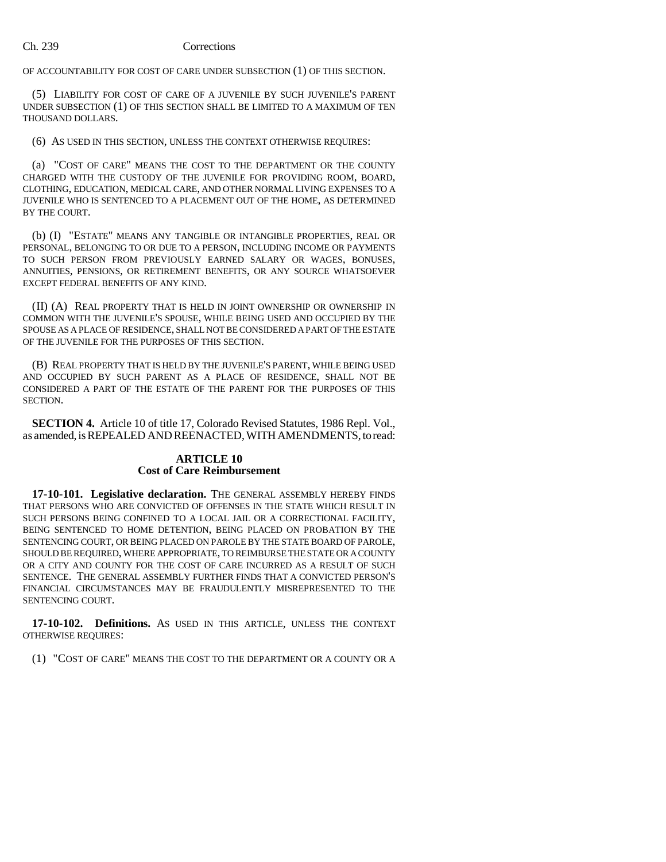## Ch. 239 Corrections

OF ACCOUNTABILITY FOR COST OF CARE UNDER SUBSECTION (1) OF THIS SECTION.

(5) LIABILITY FOR COST OF CARE OF A JUVENILE BY SUCH JUVENILE'S PARENT UNDER SUBSECTION (1) OF THIS SECTION SHALL BE LIMITED TO A MAXIMUM OF TEN THOUSAND DOLLARS.

(6) AS USED IN THIS SECTION, UNLESS THE CONTEXT OTHERWISE REQUIRES:

(a) "COST OF CARE" MEANS THE COST TO THE DEPARTMENT OR THE COUNTY CHARGED WITH THE CUSTODY OF THE JUVENILE FOR PROVIDING ROOM, BOARD, CLOTHING, EDUCATION, MEDICAL CARE, AND OTHER NORMAL LIVING EXPENSES TO A JUVENILE WHO IS SENTENCED TO A PLACEMENT OUT OF THE HOME, AS DETERMINED BY THE COURT.

(b) (I) "ESTATE" MEANS ANY TANGIBLE OR INTANGIBLE PROPERTIES, REAL OR PERSONAL, BELONGING TO OR DUE TO A PERSON, INCLUDING INCOME OR PAYMENTS TO SUCH PERSON FROM PREVIOUSLY EARNED SALARY OR WAGES, BONUSES, ANNUITIES, PENSIONS, OR RETIREMENT BENEFITS, OR ANY SOURCE WHATSOEVER EXCEPT FEDERAL BENEFITS OF ANY KIND.

(II) (A) REAL PROPERTY THAT IS HELD IN JOINT OWNERSHIP OR OWNERSHIP IN COMMON WITH THE JUVENILE'S SPOUSE, WHILE BEING USED AND OCCUPIED BY THE SPOUSE AS A PLACE OF RESIDENCE, SHALL NOT BE CONSIDERED A PART OF THE ESTATE OF THE JUVENILE FOR THE PURPOSES OF THIS SECTION.

(B) REAL PROPERTY THAT IS HELD BY THE JUVENILE'S PARENT, WHILE BEING USED AND OCCUPIED BY SUCH PARENT AS A PLACE OF RESIDENCE, SHALL NOT BE CONSIDERED A PART OF THE ESTATE OF THE PARENT FOR THE PURPOSES OF THIS SECTION.

**SECTION 4.** Article 10 of title 17, Colorado Revised Statutes, 1986 Repl. Vol., as amended, is REPEALED AND REENACTED, WITH AMENDMENTS, to read:

# **ARTICLE 10 Cost of Care Reimbursement**

**17-10-101. Legislative declaration.** THE GENERAL ASSEMBLY HEREBY FINDS THAT PERSONS WHO ARE CONVICTED OF OFFENSES IN THE STATE WHICH RESULT IN SUCH PERSONS BEING CONFINED TO A LOCAL JAIL OR A CORRECTIONAL FACILITY, BEING SENTENCED TO HOME DETENTION, BEING PLACED ON PROBATION BY THE SENTENCING COURT, OR BEING PLACED ON PAROLE BY THE STATE BOARD OF PAROLE, SHOULD BE REQUIRED, WHERE APPROPRIATE, TO REIMBURSE THE STATE OR A COUNTY OR A CITY AND COUNTY FOR THE COST OF CARE INCURRED AS A RESULT OF SUCH SENTENCE. THE GENERAL ASSEMBLY FURTHER FINDS THAT A CONVICTED PERSON'S FINANCIAL CIRCUMSTANCES MAY BE FRAUDULENTLY MISREPRESENTED TO THE SENTENCING COURT.

**17-10-102. Definitions.** AS USED IN THIS ARTICLE, UNLESS THE CONTEXT OTHERWISE REQUIRES:

(1) "COST OF CARE" MEANS THE COST TO THE DEPARTMENT OR A COUNTY OR A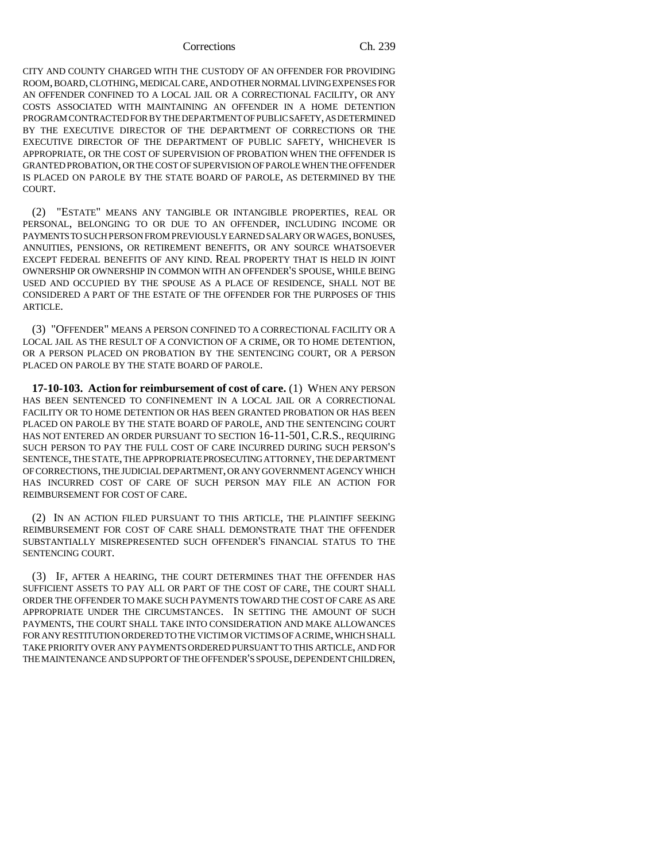### Corrections Ch. 239

CITY AND COUNTY CHARGED WITH THE CUSTODY OF AN OFFENDER FOR PROVIDING ROOM, BOARD, CLOTHING, MEDICAL CARE, AND OTHER NORMAL LIVING EXPENSES FOR AN OFFENDER CONFINED TO A LOCAL JAIL OR A CORRECTIONAL FACILITY, OR ANY COSTS ASSOCIATED WITH MAINTAINING AN OFFENDER IN A HOME DETENTION PROGRAM CONTRACTED FOR BY THE DEPARTMENT OF PUBLIC SAFETY, AS DETERMINED BY THE EXECUTIVE DIRECTOR OF THE DEPARTMENT OF CORRECTIONS OR THE EXECUTIVE DIRECTOR OF THE DEPARTMENT OF PUBLIC SAFETY, WHICHEVER IS APPROPRIATE, OR THE COST OF SUPERVISION OF PROBATION WHEN THE OFFENDER IS GRANTED PROBATION, OR THE COST OF SUPERVISION OF PAROLE WHEN THE OFFENDER IS PLACED ON PAROLE BY THE STATE BOARD OF PAROLE, AS DETERMINED BY THE COURT.

(2) "ESTATE" MEANS ANY TANGIBLE OR INTANGIBLE PROPERTIES, REAL OR PERSONAL, BELONGING TO OR DUE TO AN OFFENDER, INCLUDING INCOME OR PAYMENTS TO SUCH PERSON FROM PREVIOUSLY EARNED SALARY OR WAGES, BONUSES, ANNUITIES, PENSIONS, OR RETIREMENT BENEFITS, OR ANY SOURCE WHATSOEVER EXCEPT FEDERAL BENEFITS OF ANY KIND. REAL PROPERTY THAT IS HELD IN JOINT OWNERSHIP OR OWNERSHIP IN COMMON WITH AN OFFENDER'S SPOUSE, WHILE BEING USED AND OCCUPIED BY THE SPOUSE AS A PLACE OF RESIDENCE, SHALL NOT BE CONSIDERED A PART OF THE ESTATE OF THE OFFENDER FOR THE PURPOSES OF THIS ARTICLE.

(3) "OFFENDER" MEANS A PERSON CONFINED TO A CORRECTIONAL FACILITY OR A LOCAL JAIL AS THE RESULT OF A CONVICTION OF A CRIME, OR TO HOME DETENTION, OR A PERSON PLACED ON PROBATION BY THE SENTENCING COURT, OR A PERSON PLACED ON PAROLE BY THE STATE BOARD OF PAROLE.

**17-10-103. Action for reimbursement of cost of care.** (1) WHEN ANY PERSON HAS BEEN SENTENCED TO CONFINEMENT IN A LOCAL JAIL OR A CORRECTIONAL FACILITY OR TO HOME DETENTION OR HAS BEEN GRANTED PROBATION OR HAS BEEN PLACED ON PAROLE BY THE STATE BOARD OF PAROLE, AND THE SENTENCING COURT HAS NOT ENTERED AN ORDER PURSUANT TO SECTION 16-11-501, C.R.S., REQUIRING SUCH PERSON TO PAY THE FULL COST OF CARE INCURRED DURING SUCH PERSON'S SENTENCE, THE STATE, THE APPROPRIATE PROSECUTING ATTORNEY, THE DEPARTMENT OF CORRECTIONS, THE JUDICIAL DEPARTMENT, OR ANY GOVERNMENT AGENCY WHICH HAS INCURRED COST OF CARE OF SUCH PERSON MAY FILE AN ACTION FOR REIMBURSEMENT FOR COST OF CARE.

(2) IN AN ACTION FILED PURSUANT TO THIS ARTICLE, THE PLAINTIFF SEEKING REIMBURSEMENT FOR COST OF CARE SHALL DEMONSTRATE THAT THE OFFENDER SUBSTANTIALLY MISREPRESENTED SUCH OFFENDER'S FINANCIAL STATUS TO THE SENTENCING COURT.

(3) IF, AFTER A HEARING, THE COURT DETERMINES THAT THE OFFENDER HAS SUFFICIENT ASSETS TO PAY ALL OR PART OF THE COST OF CARE, THE COURT SHALL ORDER THE OFFENDER TO MAKE SUCH PAYMENTS TOWARD THE COST OF CARE AS ARE APPROPRIATE UNDER THE CIRCUMSTANCES. IN SETTING THE AMOUNT OF SUCH PAYMENTS, THE COURT SHALL TAKE INTO CONSIDERATION AND MAKE ALLOWANCES FOR ANY RESTITUTION ORDERED TO THE VICTIM OR VICTIMS OF A CRIME, WHICH SHALL TAKE PRIORITY OVER ANY PAYMENTS ORDERED PURSUANT TO THIS ARTICLE, AND FOR THE MAINTENANCE AND SUPPORT OF THE OFFENDER'S SPOUSE, DEPENDENT CHILDREN,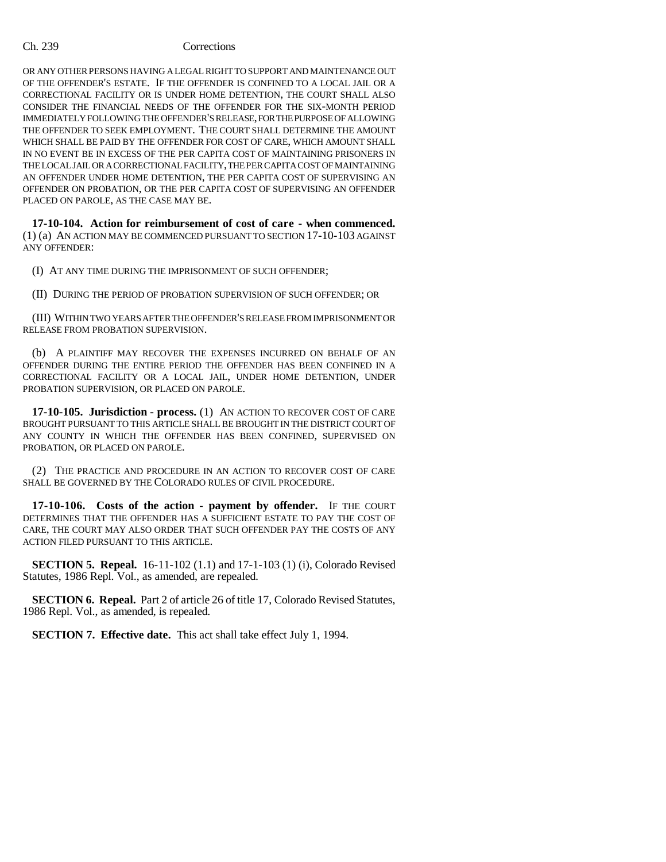# Ch. 239 Corrections

OR ANY OTHER PERSONS HAVING A LEGAL RIGHT TO SUPPORT AND MAINTENANCE OUT OF THE OFFENDER'S ESTATE. IF THE OFFENDER IS CONFINED TO A LOCAL JAIL OR A CORRECTIONAL FACILITY OR IS UNDER HOME DETENTION, THE COURT SHALL ALSO CONSIDER THE FINANCIAL NEEDS OF THE OFFENDER FOR THE SIX-MONTH PERIOD IMMEDIATELY FOLLOWING THE OFFENDER'S RELEASE, FOR THE PURPOSE OF ALLOWING THE OFFENDER TO SEEK EMPLOYMENT. THE COURT SHALL DETERMINE THE AMOUNT WHICH SHALL BE PAID BY THE OFFENDER FOR COST OF CARE, WHICH AMOUNT SHALL IN NO EVENT BE IN EXCESS OF THE PER CAPITA COST OF MAINTAINING PRISONERS IN THE LOCAL JAIL OR A CORRECTIONAL FACILITY, THE PER CAPITA COST OF MAINTAINING AN OFFENDER UNDER HOME DETENTION, THE PER CAPITA COST OF SUPERVISING AN OFFENDER ON PROBATION, OR THE PER CAPITA COST OF SUPERVISING AN OFFENDER PLACED ON PAROLE, AS THE CASE MAY BE.

**17-10-104. Action for reimbursement of cost of care - when commenced.** (1) (a) AN ACTION MAY BE COMMENCED PURSUANT TO SECTION 17-10-103 AGAINST ANY OFFENDER:

(I) AT ANY TIME DURING THE IMPRISONMENT OF SUCH OFFENDER;

(II) DURING THE PERIOD OF PROBATION SUPERVISION OF SUCH OFFENDER; OR

(III) WITHIN TWO YEARS AFTER THE OFFENDER'S RELEASE FROM IMPRISONMENT OR RELEASE FROM PROBATION SUPERVISION.

(b) A PLAINTIFF MAY RECOVER THE EXPENSES INCURRED ON BEHALF OF AN OFFENDER DURING THE ENTIRE PERIOD THE OFFENDER HAS BEEN CONFINED IN A CORRECTIONAL FACILITY OR A LOCAL JAIL, UNDER HOME DETENTION, UNDER PROBATION SUPERVISION, OR PLACED ON PAROLE.

**17-10-105. Jurisdiction - process.** (1) AN ACTION TO RECOVER COST OF CARE BROUGHT PURSUANT TO THIS ARTICLE SHALL BE BROUGHT IN THE DISTRICT COURT OF ANY COUNTY IN WHICH THE OFFENDER HAS BEEN CONFINED, SUPERVISED ON PROBATION, OR PLACED ON PAROLE.

(2) THE PRACTICE AND PROCEDURE IN AN ACTION TO RECOVER COST OF CARE SHALL BE GOVERNED BY THE COLORADO RULES OF CIVIL PROCEDURE.

**17-10-106. Costs of the action - payment by offender.** IF THE COURT DETERMINES THAT THE OFFENDER HAS A SUFFICIENT ESTATE TO PAY THE COST OF CARE, THE COURT MAY ALSO ORDER THAT SUCH OFFENDER PAY THE COSTS OF ANY ACTION FILED PURSUANT TO THIS ARTICLE.

**SECTION 5. Repeal.** 16-11-102 (1.1) and 17-1-103 (1) (i), Colorado Revised Statutes, 1986 Repl. Vol., as amended, are repealed.

**SECTION 6. Repeal.** Part 2 of article 26 of title 17, Colorado Revised Statutes, 1986 Repl. Vol., as amended, is repealed.

**SECTION 7. Effective date.** This act shall take effect July 1, 1994.